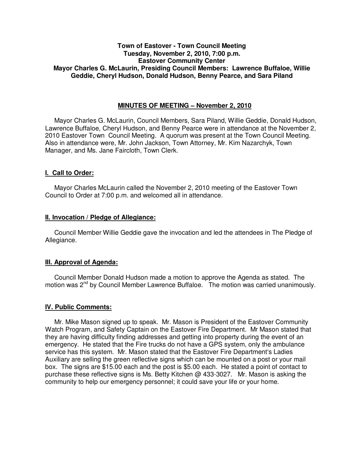## **Town of Eastover - Town Council Meeting Tuesday, November 2, 2010, 7:00 p.m. Eastover Community Center Mayor Charles G. McLaurin, Presiding Council Members: Lawrence Buffaloe, Willie Geddie, Cheryl Hudson, Donald Hudson, Benny Pearce, and Sara Piland**

## **MINUTES OF MEETING – November 2, 2010**

Mayor Charles G. McLaurin, Council Members, Sara Piland, Willie Geddie, Donald Hudson, Lawrence Buffaloe, Cheryl Hudson, and Benny Pearce were in attendance at the November 2, 2010 Eastover Town Council Meeting. A quorum was present at the Town Council Meeting. Also in attendance were, Mr. John Jackson, Town Attorney, Mr. Kim Nazarchyk, Town Manager, and Ms. Jane Faircloth, Town Clerk.

## **I. Call to Order:**

Mayor Charles McLaurin called the November 2, 2010 meeting of the Eastover Town Council to Order at 7:00 p.m. and welcomed all in attendance.

### **II. Invocation / Pledge of Allegiance:**

 Council Member Willie Geddie gave the invocation and led the attendees in The Pledge of Allegiance.

## **III. Approval of Agenda:**

 Council Member Donald Hudson made a motion to approve the Agenda as stated. The motion was  $2^{nd}$  by Council Member Lawrence Buffaloe. The motion was carried unanimously.

#### **IV. Public Comments:**

 Mr. Mike Mason signed up to speak. Mr. Mason is President of the Eastover Community Watch Program, and Safety Captain on the Eastover Fire Department. Mr Mason stated that they are having difficulty finding addresses and getting into property during the event of an emergency. He stated that the Fire trucks do not have a GPS system, only the ambulance service has this system. Mr. Mason stated that the Eastover Fire Department's Ladies Auxiliary are selling the green reflective signs which can be mounted on a post or your mail box. The signs are \$15.00 each and the post is \$5.00 each. He stated a point of contact to purchase these reflective signs is Ms. Betty Kitchen @ 433-3027. Mr. Mason is asking the community to help our emergency personnel; it could save your life or your home.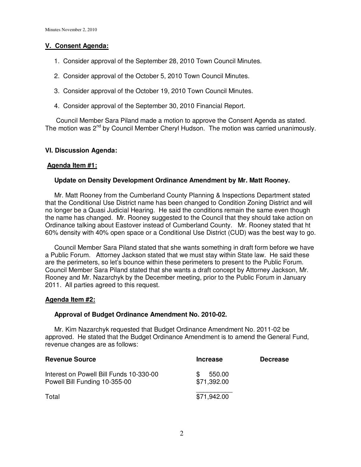## **V. Consent Agenda:**

- 1. Consider approval of the September 28, 2010 Town Council Minutes.
- 2. Consider approval of the October 5, 2010 Town Council Minutes.
- 3. Consider approval of the October 19, 2010 Town Council Minutes.
- 4. Consider approval of the September 30, 2010 Financial Report.

 Council Member Sara Piland made a motion to approve the Consent Agenda as stated. The motion was 2<sup>nd</sup> by Council Member Cheryl Hudson. The motion was carried unanimously.

## **VI. Discussion Agenda:**

## **Agenda Item #1:**

## **Update on Density Development Ordinance Amendment by Mr. Matt Rooney.**

 Mr. Matt Rooney from the Cumberland County Planning & Inspections Department stated that the Conditional Use District name has been changed to Condition Zoning District and will no longer be a Quasi Judicial Hearing. He said the conditions remain the same even though the name has changed. Mr. Rooney suggested to the Council that they should take action on Ordinance talking about Eastover instead of Cumberland County. Mr. Rooney stated that ht 60% density with 40% open space or a Conditional Use District (CUD) was the best way to go.

Council Member Sara Piland stated that she wants something in draft form before we have a Public Forum. Attorney Jackson stated that we must stay within State law. He said these are the perimeters, so let's bounce within these perimeters to present to the Public Forum. Council Member Sara Piland stated that she wants a draft concept by Attorney Jackson, Mr. Rooney and Mr. Nazarchyk by the December meeting, prior to the Public Forum in January 2011. All parties agreed to this request.

## **Agenda Item #2:**

## **Approval of Budget Ordinance Amendment No. 2010-02.**

 Mr. Kim Nazarchyk requested that Budget Ordinance Amendment No. 2011-02 be approved. He stated that the Budget Ordinance Amendment is to amend the General Fund, revenue changes are as follows:

| <b>Revenue Source</b>                                                    | <b>Increase</b>              | <b>Decrease</b> |
|--------------------------------------------------------------------------|------------------------------|-----------------|
| Interest on Powell Bill Funds 10-330-00<br>Powell Bill Funding 10-355-00 | 550.00<br>\$.<br>\$71,392.00 |                 |
| Total                                                                    | \$71,942.00                  |                 |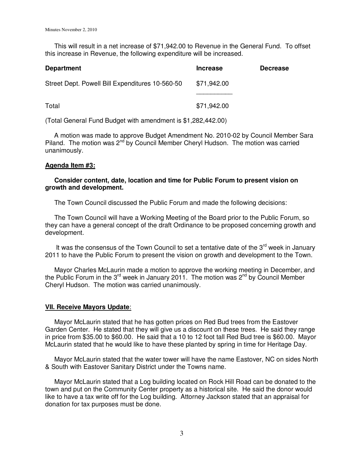This will result in a net increase of \$71,942.00 to Revenue in the General Fund. To offset this increase in Revenue, the following expenditure will be increased.

| <b>Department</b>                               | <b>Increase</b> | <b>Decrease</b> |
|-------------------------------------------------|-----------------|-----------------|
| Street Dept. Powell Bill Expenditures 10-560-50 | \$71,942.00     |                 |
|                                                 |                 |                 |
| Total                                           | \$71,942.00     |                 |

(Total General Fund Budget with amendment is \$1,282,442.00)

 A motion was made to approve Budget Amendment No. 2010-02 by Council Member Sara Piland. The motion was  $2^{nd}$  by Council Member Cheryl Hudson. The motion was carried unanimously.

### **Agenda Item #3:**

## **Consider content, date, location and time for Public Forum to present vision on growth and development.**

The Town Council discussed the Public Forum and made the following decisions:

 The Town Council will have a Working Meeting of the Board prior to the Public Forum, so they can have a general concept of the draft Ordinance to be proposed concerning growth and development.

It was the consensus of the Town Council to set a tentative date of the  $3<sup>rd</sup>$  week in January 2011 to have the Public Forum to present the vision on growth and development to the Town.

 Mayor Charles McLaurin made a motion to approve the working meeting in December, and the Public Forum in the 3<sup>rd</sup> week in January 2011. The motion was  $2^{nd}$  by Council Member Cheryl Hudson. The motion was carried unanimously.

#### **VII. Receive Mayors Update**:

 Mayor McLaurin stated that he has gotten prices on Red Bud trees from the Eastover Garden Center. He stated that they will give us a discount on these trees. He said they range in price from \$35.00 to \$60.00. He said that a 10 to 12 foot tall Red Bud tree is \$60.00. Mayor McLaurin stated that he would like to have these planted by spring in time for Heritage Day.

 Mayor McLaurin stated that the water tower will have the name Eastover, NC on sides North & South with Eastover Sanitary District under the Towns name.

 Mayor McLaurin stated that a Log building located on Rock Hill Road can be donated to the town and put on the Community Center property as a historical site. He said the donor would like to have a tax write off for the Log building. Attorney Jackson stated that an appraisal for donation for tax purposes must be done.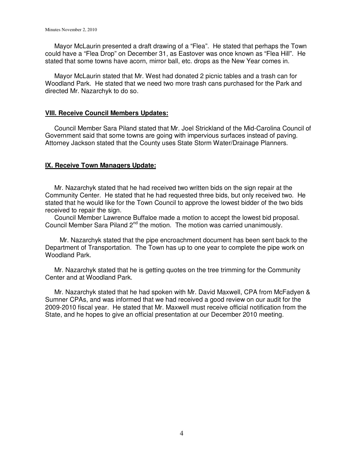Mayor McLaurin presented a draft drawing of a "Flea". He stated that perhaps the Town could have a "Flea Drop" on December 31, as Eastover was once known as "Flea Hill". He stated that some towns have acorn, mirror ball, etc. drops as the New Year comes in.

 Mayor McLaurin stated that Mr. West had donated 2 picnic tables and a trash can for Woodland Park. He stated that we need two more trash cans purchased for the Park and directed Mr. Nazarchyk to do so.

#### **VIII. Receive Council Members Updates:**

 Council Member Sara Piland stated that Mr. Joel Strickland of the Mid-Carolina Council of Government said that some towns are going with impervious surfaces instead of paving. Attorney Jackson stated that the County uses State Storm Water/Drainage Planners.

### **IX. Receive Town Managers Update:**

 Mr. Nazarchyk stated that he had received two written bids on the sign repair at the Community Center. He stated that he had requested three bids, but only received two. He stated that he would like for the Town Council to approve the lowest bidder of the two bids received to repair the sign.

 Council Member Lawrence Buffaloe made a motion to accept the lowest bid proposal. Council Member Sara Piland 2<sup>nd</sup> the motion. The motion was carried unanimously.

 Mr. Nazarchyk stated that the pipe encroachment document has been sent back to the Department of Transportation. The Town has up to one year to complete the pipe work on Woodland Park.

 Mr. Nazarchyk stated that he is getting quotes on the tree trimming for the Community Center and at Woodland Park.

 Mr. Nazarchyk stated that he had spoken with Mr. David Maxwell, CPA from McFadyen & Sumner CPAs, and was informed that we had received a good review on our audit for the 2009-2010 fiscal year. He stated that Mr. Maxwell must receive official notification from the State, and he hopes to give an official presentation at our December 2010 meeting.